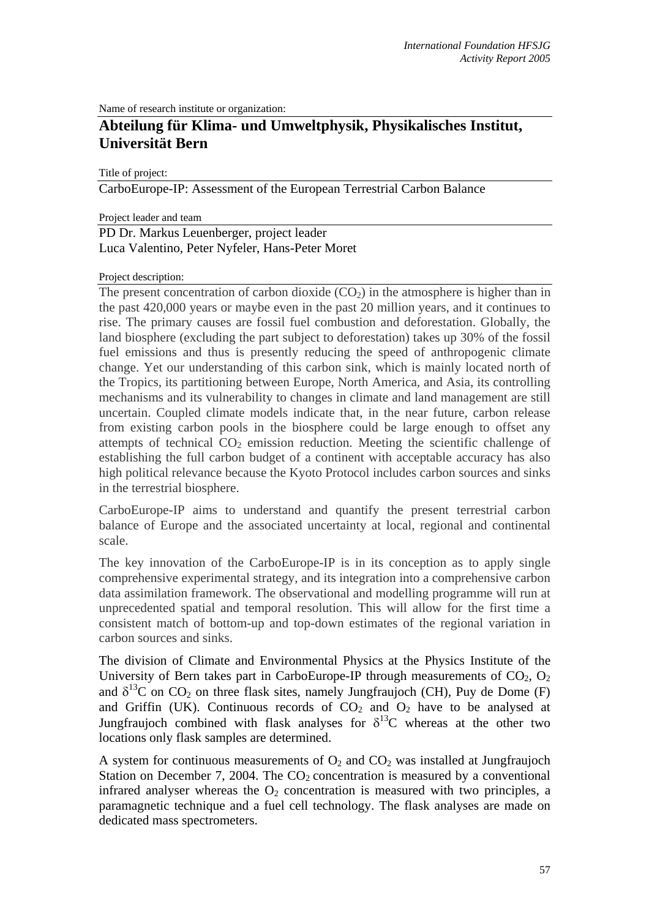Name of research institute or organization:

## **Abteilung für Klima- und Umweltphysik, Physikalisches Institut, Universität Bern**

Title of project:

CarboEurope-IP: Assessment of the European Terrestrial Carbon Balance

Project leader and team

## PD Dr. Markus Leuenberger, project leader Luca Valentino, Peter Nyfeler, Hans-Peter Moret

## Project description:

The present concentration of carbon dioxide  $(CO<sub>2</sub>)$  in the atmosphere is higher than in the past 420,000 years or maybe even in the past 20 million years, and it continues to rise. The primary causes are fossil fuel combustion and deforestation. Globally, the land biosphere (excluding the part subject to deforestation) takes up 30% of the fossil fuel emissions and thus is presently reducing the speed of anthropogenic climate change. Yet our understanding of this carbon sink, which is mainly located north of the Tropics, its partitioning between Europe, North America, and Asia, its controlling mechanisms and its vulnerability to changes in climate and land management are still uncertain. Coupled climate models indicate that, in the near future, carbon release from existing carbon pools in the biosphere could be large enough to offset any attempts of technical  $CO<sub>2</sub>$  emission reduction. Meeting the scientific challenge of establishing the full carbon budget of a continent with acceptable accuracy has also high political relevance because the Kyoto Protocol includes carbon sources and sinks in the terrestrial biosphere.

CarboEurope-IP aims to understand and quantify the present terrestrial carbon balance of Europe and the associated uncertainty at local, regional and continental scale.

The key innovation of the CarboEurope-IP is in its conception as to apply single comprehensive experimental strategy, and its integration into a comprehensive carbon data assimilation framework. The observational and modelling programme will run at unprecedented spatial and temporal resolution. This will allow for the first time a consistent match of bottom-up and top-down estimates of the regional variation in carbon sources and sinks.

The division of Climate and Environmental Physics at the Physics Institute of the University of Bern takes part in CarboEurope-IP through measurements of  $CO<sub>2</sub>$ ,  $O<sub>2</sub>$ and  $\delta^{13}$ C on CO<sub>2</sub> on three flask sites, namely Jungfraujoch (CH), Puy de Dome (F) and Griffin (UK). Continuous records of  $CO<sub>2</sub>$  and  $O<sub>2</sub>$  have to be analysed at Jungfraujoch combined with flask analyses for  $\delta^{13}C$  whereas at the other two locations only flask samples are determined.

A system for continuous measurements of  $O_2$  and  $CO_2$  was installed at Jungfraujoch Station on December 7, 2004. The  $CO<sub>2</sub>$  concentration is measured by a conventional infrared analyser whereas the  $O_2$  concentration is measured with two principles, a paramagnetic technique and a fuel cell technology. The flask analyses are made on dedicated mass spectrometers.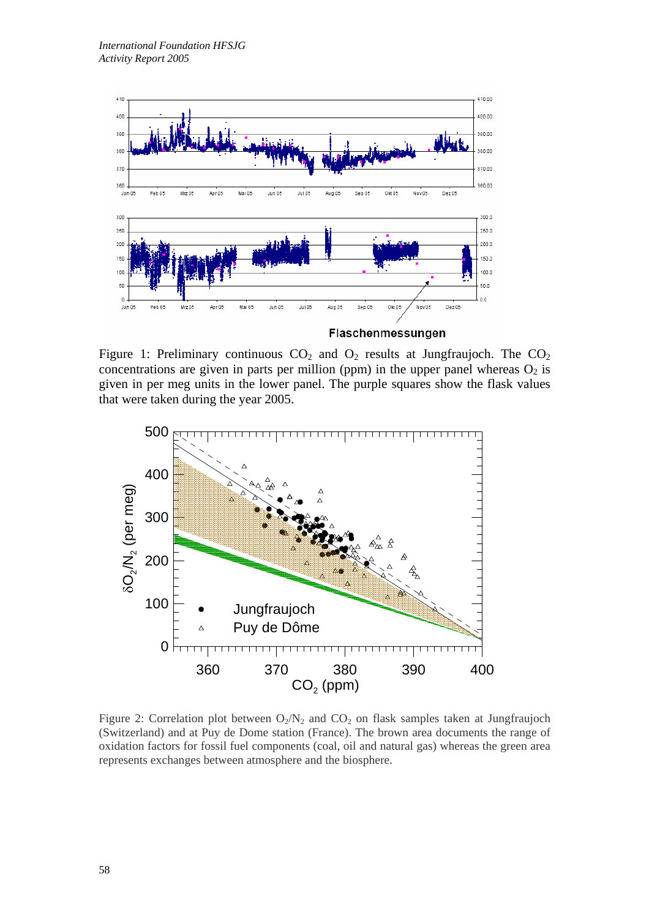

Figure 1: Preliminary continuous  $CO_2$  and  $O_2$  results at Jungfraujoch. The  $CO_2$ concentrations are given in parts per million (ppm) in the upper panel whereas  $O_2$  is given in per meg units in the lower panel. The purple squares show the flask values that were taken during the year 2005.



Figure 2: Correlation plot between  $O_2/N_2$  and  $CO_2$  on flask samples taken at Jungfraujoch (Switzerland) and at Puy de Dome station (France). The brown area documents the range of oxidation factors for fossil fuel components (coal, oil and natural gas) whereas the green area represents exchanges between atmosphere and the biosphere.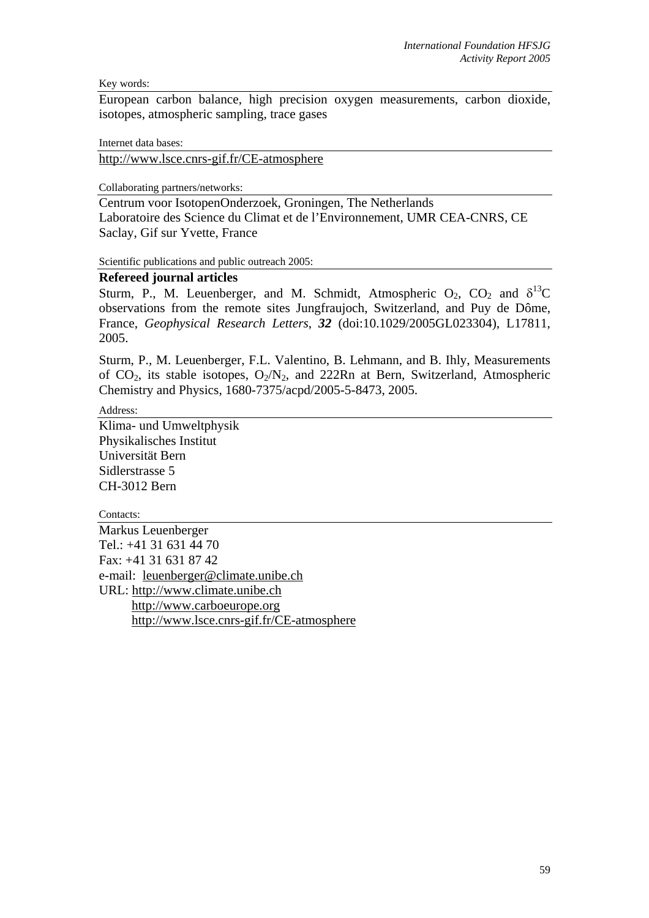Key words:

European carbon balance, high precision oxygen measurements, carbon dioxide, isotopes, atmospheric sampling, trace gases

Internet data bases:

http://www.lsce.cnrs-gif.fr/CE-atmosphere

Collaborating partners/networks:

Centrum voor IsotopenOnderzoek, Groningen, The Netherlands Laboratoire des Science du Climat et de l'Environnement, UMR CEA-CNRS, CE Saclay, Gif sur Yvette, France

Scientific publications and public outreach 2005:

## **Refereed journal articles**

Sturm, P., M. Leuenberger, and M. Schmidt, Atmospheric  $O_2$ ,  $CO_2$  and  $\delta^{13}C$ observations from the remote sites Jungfraujoch, Switzerland, and Puy de Dôme, France, *Geophysical Research Letters*, *32* (doi:10.1029/2005GL023304), L17811, 2005.

Sturm, P., M. Leuenberger, F.L. Valentino, B. Lehmann, and B. Ihly, Measurements of  $CO_2$ , its stable isotopes,  $O_2/N_2$ , and 222Rn at Bern, Switzerland, Atmospheric Chemistry and Physics, 1680-7375/acpd/2005-5-8473, 2005.

Address:

Klima- und Umweltphysik Physikalisches Institut Universität Bern Sidlerstrasse 5 CH-3012 Bern

Contacts: Markus Leuenberger Tel.: +41 31 631 44 70 Fax: +41 31 631 87 42 e-mail: leuenberger@climate.unibe.ch URL: http://www.climate.unibe.ch http://www.carboeurope.org http://www.lsce.cnrs-gif.fr/CE-atmosphere